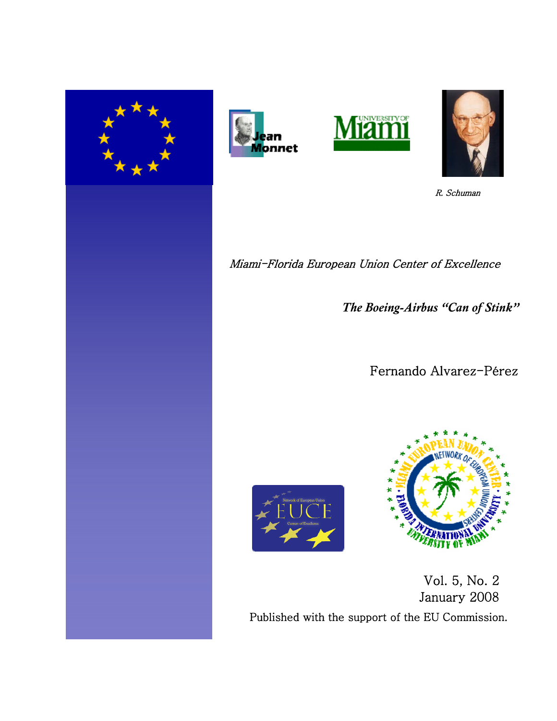







R. Schuman

Miami-Florida European Union Center of Excellence

 *The Boeing-Airbus "Can of Stink"*

Fernando Alvarez-Pérez





 Vol. 5, No. 2 January 2008 Published with the support of the EU Commission.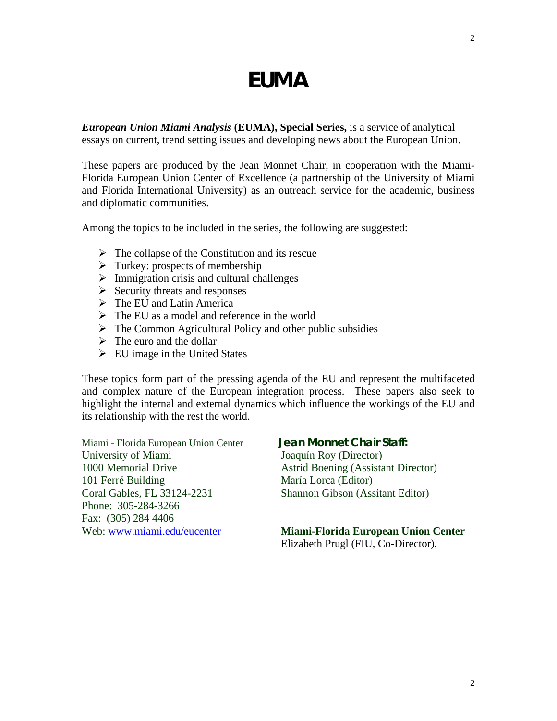# **EUMA**

*European Union Miami Analysis* **(EUMA), Special Series,** is a service of analytical essays on current, trend setting issues and developing news about the European Union.

These papers are produced by the Jean Monnet Chair, in cooperation with the Miami-Florida European Union Center of Excellence (a partnership of the University of Miami and Florida International University) as an outreach service for the academic, business and diplomatic communities.

Among the topics to be included in the series, the following are suggested:

- $\triangleright$  The collapse of the Constitution and its rescue
- $\triangleright$  Turkey: prospects of membership
- $\triangleright$  Immigration crisis and cultural challenges
- $\triangleright$  Security threats and responses
- $\triangleright$  The EU and Latin America
- $\triangleright$  The EU as a model and reference in the world
- $\triangleright$  The Common Agricultural Policy and other public subsidies
- $\triangleright$  The euro and the dollar
- $\triangleright$  EU image in the United States

These topics form part of the pressing agenda of the EU and represent the multifaceted and complex nature of the European integration process. These papers also seek to highlight the internal and external dynamics which influence the workings of the EU and its relationship with the rest the world.

Miami - Florida European Union Center **Jean Monnet Chair Staff:** University of Miami Joaquín Roy (Director) 1000 Memorial Drive Astrid Boening (Assistant Director) 101 Ferré Building María Lorca (Editor) Coral Gables, FL 33124-2231 Shannon Gibson (Assitant Editor) Phone: 305-284-3266 Fax: (305) 284 4406

## Web: [www.miami.edu/eucenter](http://www.miami.edu/eucenter) **Miami-Florida European Union Center**

Elizabeth Prugl (FIU, Co-Director),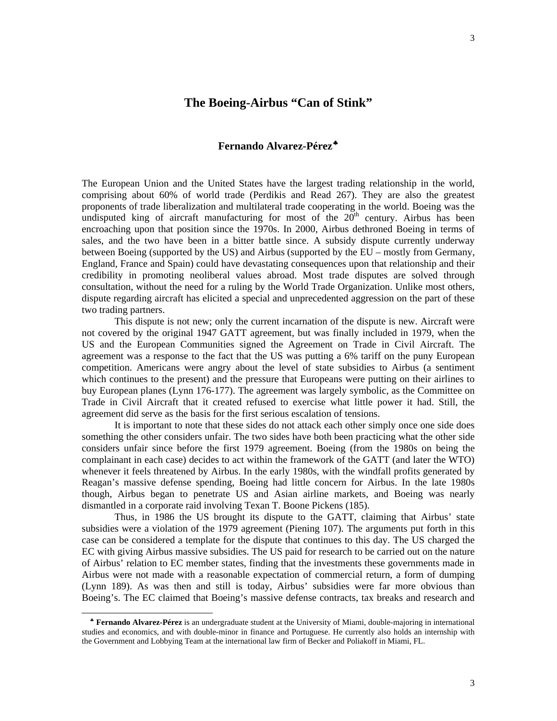# **The Boeing-Airbus "Can of Stink"**

# **Fernando Alvarez-Pérez**[♣](#page-2-0)

The European Union and the United States have the largest trading relationship in the world, comprising about 60% of world trade (Perdikis and Read 267). They are also the greatest proponents of trade liberalization and multilateral trade cooperating in the world. Boeing was the undisputed king of aircraft manufacturing for most of the  $20<sup>th</sup>$  century. Airbus has been encroaching upon that position since the 1970s. In 2000, Airbus dethroned Boeing in terms of sales, and the two have been in a bitter battle since. A subsidy dispute currently underway between Boeing (supported by the US) and Airbus (supported by the EU – mostly from Germany, England, France and Spain) could have devastating consequences upon that relationship and their credibility in promoting neoliberal values abroad. Most trade disputes are solved through consultation, without the need for a ruling by the World Trade Organization. Unlike most others, dispute regarding aircraft has elicited a special and unprecedented aggression on the part of these two trading partners.

 This dispute is not new; only the current incarnation of the dispute is new. Aircraft were not covered by the original 1947 GATT agreement, but was finally included in 1979, when the US and the European Communities signed the Agreement on Trade in Civil Aircraft. The agreement was a response to the fact that the US was putting a 6% tariff on the puny European competition. Americans were angry about the level of state subsidies to Airbus (a sentiment which continues to the present) and the pressure that Europeans were putting on their airlines to buy European planes (Lynn 176-177). The agreement was largely symbolic, as the Committee on Trade in Civil Aircraft that it created refused to exercise what little power it had. Still, the agreement did serve as the basis for the first serious escalation of tensions.

It is important to note that these sides do not attack each other simply once one side does something the other considers unfair. The two sides have both been practicing what the other side considers unfair since before the first 1979 agreement. Boeing (from the 1980s on being the complainant in each case) decides to act within the framework of the GATT (and later the WTO) whenever it feels threatened by Airbus. In the early 1980s, with the windfall profits generated by Reagan's massive defense spending, Boeing had little concern for Airbus. In the late 1980s though, Airbus began to penetrate US and Asian airline markets, and Boeing was nearly dismantled in a corporate raid involving Texan T. Boone Pickens (185).

 Thus, in 1986 the US brought its dispute to the GATT, claiming that Airbus' state subsidies were a violation of the 1979 agreement (Piening 107). The arguments put forth in this case can be considered a template for the dispute that continues to this day. The US charged the EC with giving Airbus massive subsidies. The US paid for research to be carried out on the nature of Airbus' relation to EC member states, finding that the investments these governments made in Airbus were not made with a reasonable expectation of commercial return, a form of dumping (Lynn 189). As was then and still is today, Airbus' subsidies were far more obvious than Boeing's. The EC claimed that Boeing's massive defense contracts, tax breaks and research and

 $\overline{a}$ 

<span id="page-2-0"></span>♣ **Fernando Alvarez-Pérez** is an undergraduate student at the University of Miami, double-majoring in international studies and economics, and with double-minor in finance and Portuguese. He currently also holds an internship with the Government and Lobbying Team at the international law firm of Becker and Poliakoff in Miami, FL.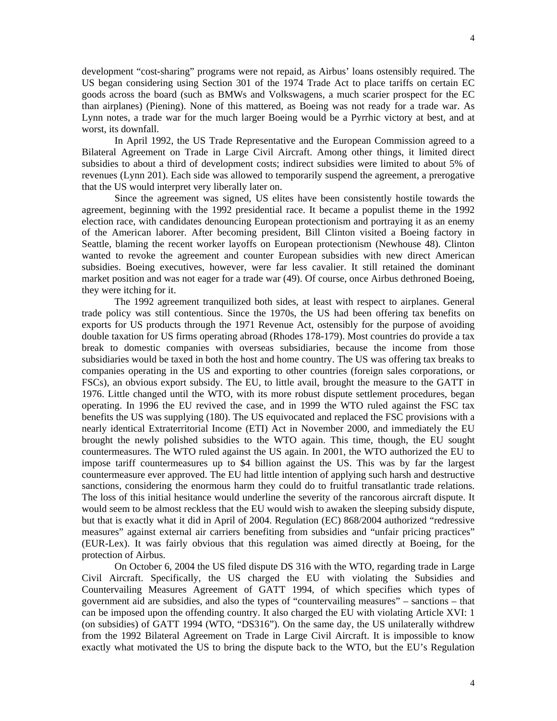development "cost-sharing" programs were not repaid, as Airbus' loans ostensibly required. The US began considering using Section 301 of the 1974 Trade Act to place tariffs on certain EC goods across the board (such as BMWs and Volkswagens, a much scarier prospect for the EC than airplanes) (Piening). None of this mattered, as Boeing was not ready for a trade war. As Lynn notes, a trade war for the much larger Boeing would be a Pyrrhic victory at best, and at worst, its downfall.

 In April 1992, the US Trade Representative and the European Commission agreed to a Bilateral Agreement on Trade in Large Civil Aircraft. Among other things, it limited direct subsidies to about a third of development costs; indirect subsidies were limited to about 5% of revenues (Lynn 201). Each side was allowed to temporarily suspend the agreement, a prerogative that the US would interpret very liberally later on.

 Since the agreement was signed, US elites have been consistently hostile towards the agreement, beginning with the 1992 presidential race. It became a populist theme in the 1992 election race, with candidates denouncing European protectionism and portraying it as an enemy of the American laborer. After becoming president, Bill Clinton visited a Boeing factory in Seattle, blaming the recent worker layoffs on European protectionism (Newhouse 48). Clinton wanted to revoke the agreement and counter European subsidies with new direct American subsidies. Boeing executives, however, were far less cavalier. It still retained the dominant market position and was not eager for a trade war (49). Of course, once Airbus dethroned Boeing, they were itching for it.

 The 1992 agreement tranquilized both sides, at least with respect to airplanes. General trade policy was still contentious. Since the 1970s, the US had been offering tax benefits on exports for US products through the 1971 Revenue Act, ostensibly for the purpose of avoiding double taxation for US firms operating abroad (Rhodes 178-179). Most countries do provide a tax break to domestic companies with overseas subsidiaries, because the income from those subsidiaries would be taxed in both the host and home country. The US was offering tax breaks to companies operating in the US and exporting to other countries (foreign sales corporations, or FSCs), an obvious export subsidy. The EU, to little avail, brought the measure to the GATT in 1976. Little changed until the WTO, with its more robust dispute settlement procedures, began operating. In 1996 the EU revived the case, and in 1999 the WTO ruled against the FSC tax benefits the US was supplying (180). The US equivocated and replaced the FSC provisions with a nearly identical Extraterritorial Income (ETI) Act in November 2000, and immediately the EU brought the newly polished subsidies to the WTO again. This time, though, the EU sought countermeasures. The WTO ruled against the US again. In 2001, the WTO authorized the EU to impose tariff countermeasures up to \$4 billion against the US. This was by far the largest countermeasure ever approved. The EU had little intention of applying such harsh and destructive sanctions, considering the enormous harm they could do to fruitful transatlantic trade relations. The loss of this initial hesitance would underline the severity of the rancorous aircraft dispute. It would seem to be almost reckless that the EU would wish to awaken the sleeping subsidy dispute, but that is exactly what it did in April of 2004. Regulation (EC) 868/2004 authorized "redressive measures" against external air carriers benefiting from subsidies and "unfair pricing practices" (EUR-Lex). It was fairly obvious that this regulation was aimed directly at Boeing, for the protection of Airbus.

 On October 6, 2004 the US filed dispute DS 316 with the WTO, regarding trade in Large Civil Aircraft. Specifically, the US charged the EU with violating the Subsidies and Countervailing Measures Agreement of GATT 1994, of which specifies which types of government aid are subsidies, and also the types of "countervailing measures" – sanctions – that can be imposed upon the offending country. It also charged the EU with violating Article XVI: 1 (on subsidies) of GATT 1994 (WTO, "DS316"). On the same day, the US unilaterally withdrew from the 1992 Bilateral Agreement on Trade in Large Civil Aircraft. It is impossible to know exactly what motivated the US to bring the dispute back to the WTO, but the EU's Regulation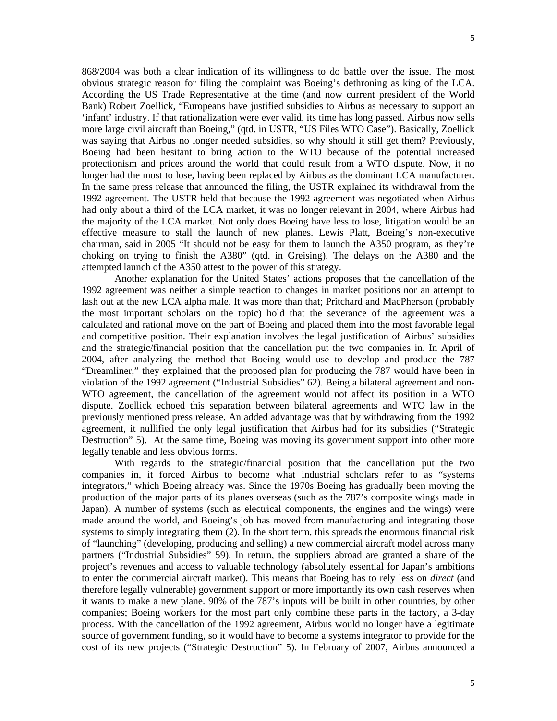868/2004 was both a clear indication of its willingness to do battle over the issue. The most obvious strategic reason for filing the complaint was Boeing's dethroning as king of the LCA. According the US Trade Representative at the time (and now current president of the World Bank) Robert Zoellick, "Europeans have justified subsidies to Airbus as necessary to support an 'infant' industry. If that rationalization were ever valid, its time has long passed. Airbus now sells more large civil aircraft than Boeing," (qtd. in USTR, "US Files WTO Case"). Basically, Zoellick was saying that Airbus no longer needed subsidies, so why should it still get them? Previously, Boeing had been hesitant to bring action to the WTO because of the potential increased protectionism and prices around the world that could result from a WTO dispute. Now, it no longer had the most to lose, having been replaced by Airbus as the dominant LCA manufacturer. In the same press release that announced the filing, the USTR explained its withdrawal from the 1992 agreement. The USTR held that because the 1992 agreement was negotiated when Airbus had only about a third of the LCA market, it was no longer relevant in 2004, where Airbus had the majority of the LCA market. Not only does Boeing have less to lose, litigation would be an effective measure to stall the launch of new planes. Lewis Platt, Boeing's non-executive chairman, said in 2005 "It should not be easy for them to launch the A350 program, as they're choking on trying to finish the A380" (qtd. in Greising). The delays on the A380 and the attempted launch of the A350 attest to the power of this strategy.

 Another explanation for the United States' actions proposes that the cancellation of the 1992 agreement was neither a simple reaction to changes in market positions nor an attempt to lash out at the new LCA alpha male. It was more than that; Pritchard and MacPherson (probably the most important scholars on the topic) hold that the severance of the agreement was a calculated and rational move on the part of Boeing and placed them into the most favorable legal and competitive position. Their explanation involves the legal justification of Airbus' subsidies and the strategic/financial position that the cancellation put the two companies in. In April of 2004, after analyzing the method that Boeing would use to develop and produce the 787 "Dreamliner," they explained that the proposed plan for producing the 787 would have been in violation of the 1992 agreement ("Industrial Subsidies" 62). Being a bilateral agreement and non-WTO agreement, the cancellation of the agreement would not affect its position in a WTO dispute. Zoellick echoed this separation between bilateral agreements and WTO law in the previously mentioned press release. An added advantage was that by withdrawing from the 1992 agreement, it nullified the only legal justification that Airbus had for its subsidies ("Strategic Destruction" 5). At the same time, Boeing was moving its government support into other more legally tenable and less obvious forms.

With regards to the strategic/financial position that the cancellation put the two companies in, it forced Airbus to become what industrial scholars refer to as "systems integrators," which Boeing already was. Since the 1970s Boeing has gradually been moving the production of the major parts of its planes overseas (such as the 787's composite wings made in Japan). A number of systems (such as electrical components, the engines and the wings) were made around the world, and Boeing's job has moved from manufacturing and integrating those systems to simply integrating them (2). In the short term, this spreads the enormous financial risk of "launching" (developing, producing and selling) a new commercial aircraft model across many partners ("Industrial Subsidies" 59). In return, the suppliers abroad are granted a share of the project's revenues and access to valuable technology (absolutely essential for Japan's ambitions to enter the commercial aircraft market). This means that Boeing has to rely less on *direct* (and therefore legally vulnerable) government support or more importantly its own cash reserves when it wants to make a new plane. 90% of the 787's inputs will be built in other countries, by other companies; Boeing workers for the most part only combine these parts in the factory, a 3-day process. With the cancellation of the 1992 agreement, Airbus would no longer have a legitimate source of government funding, so it would have to become a systems integrator to provide for the cost of its new projects ("Strategic Destruction" 5). In February of 2007, Airbus announced a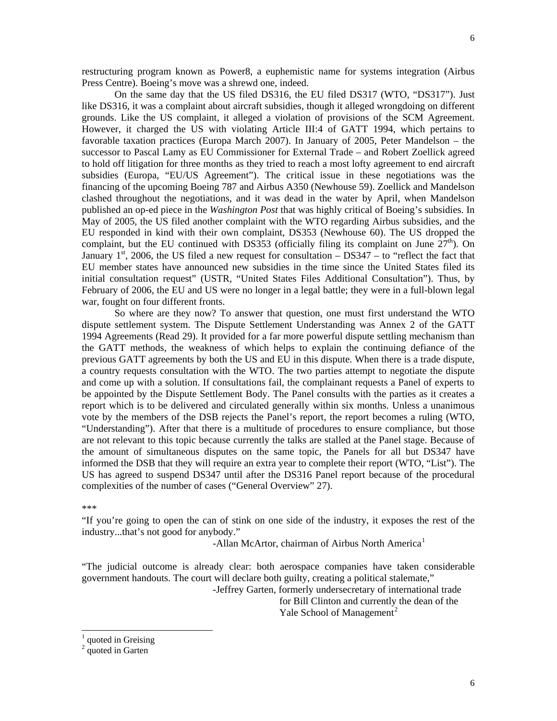restructuring program known as Power8, a euphemistic name for systems integration (Airbus Press Centre). Boeing's move was a shrewd one, indeed.

 On the same day that the US filed DS316, the EU filed DS317 (WTO, "DS317"). Just like DS316, it was a complaint about aircraft subsidies, though it alleged wrongdoing on different grounds. Like the US complaint, it alleged a violation of provisions of the SCM Agreement. However, it charged the US with violating Article III:4 of GATT 1994, which pertains to favorable taxation practices (Europa March 2007). In January of 2005, Peter Mandelson – the successor to Pascal Lamy as EU Commissioner for External Trade – and Robert Zoellick agreed to hold off litigation for three months as they tried to reach a most lofty agreement to end aircraft subsidies (Europa, "EU/US Agreement"). The critical issue in these negotiations was the financing of the upcoming Boeing 787 and Airbus A350 (Newhouse 59). Zoellick and Mandelson clashed throughout the negotiations, and it was dead in the water by April, when Mandelson published an op-ed piece in the *Washington Post* that was highly critical of Boeing's subsidies. In May of 2005, the US filed another complaint with the WTO regarding Airbus subsidies, and the EU responded in kind with their own complaint, DS353 (Newhouse 60). The US dropped the complaint, but the EU continued with DS353 (officially filing its complaint on June  $27<sup>th</sup>$ ). On January  $1<sup>st</sup>$ , 2006, the US filed a new request for consultation – DS347 – to "reflect the fact that EU member states have announced new subsidies in the time since the United States filed its initial consultation request" (USTR, "United States Files Additional Consultation"). Thus, by February of 2006, the EU and US were no longer in a legal battle; they were in a full-blown legal war, fought on four different fronts.

 So where are they now? To answer that question, one must first understand the WTO dispute settlement system. The Dispute Settlement Understanding was Annex 2 of the GATT 1994 Agreements (Read 29). It provided for a far more powerful dispute settling mechanism than the GATT methods, the weakness of which helps to explain the continuing defiance of the previous GATT agreements by both the US and EU in this dispute. When there is a trade dispute, a country requests consultation with the WTO. The two parties attempt to negotiate the dispute and come up with a solution. If consultations fail, the complainant requests a Panel of experts to be appointed by the Dispute Settlement Body. The Panel consults with the parties as it creates a report which is to be delivered and circulated generally within six months. Unless a unanimous vote by the members of the DSB rejects the Panel's report, the report becomes a ruling (WTO, "Understanding"). After that there is a multitude of procedures to ensure compliance, but those are not relevant to this topic because currently the talks are stalled at the Panel stage. Because of the amount of simultaneous disputes on the same topic, the Panels for all but DS347 have informed the DSB that they will require an extra year to complete their report (WTO, "List"). The US has agreed to suspend DS347 until after the DS316 Panel report because of the procedural complexities of the number of cases ("General Overview" 27).

#### \*\*\*

 $\overline{a}$ 

"If you're going to open the can of stink on one side of the industry, it exposes the rest of the industry...that's not good for anybody."

-Allan McArtor, chairman of Airbus North America<sup>[1](#page-5-0)</sup>

"The judicial outcome is already clear: both aerospace companies have taken considerable government handouts. The court will declare both guilty, creating a political stalemate,"

-Jeffrey Garten, formerly undersecretary of international trade

 for Bill Clinton and currently the dean of the  $Y$ ale School of Management<sup>[2](#page-5-1)</sup>

<span id="page-5-0"></span><sup>1</sup> quoted in Greising

<span id="page-5-1"></span> $2 \text{ quoted in Garten}$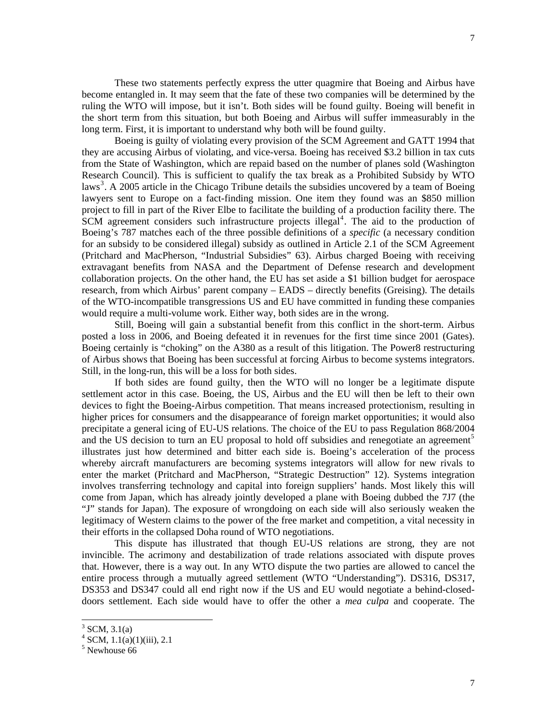These two statements perfectly express the utter quagmire that Boeing and Airbus have become entangled in. It may seem that the fate of these two companies will be determined by the ruling the WTO will impose, but it isn't. Both sides will be found guilty. Boeing will benefit in the short term from this situation, but both Boeing and Airbus will suffer immeasurably in the long term. First, it is important to understand why both will be found guilty.

 Boeing is guilty of violating every provision of the SCM Agreement and GATT 1994 that they are accusing Airbus of violating, and vice-versa. Boeing has received \$3.2 billion in tax cuts from the State of Washington, which are repaid based on the number of planes sold (Washington Research Council). This is sufficient to qualify the tax break as a Prohibited Subsidy by WTO laws<sup>[3](#page-6-0)</sup>. A 2005 article in the Chicago Tribune details the subsidies uncovered by a team of Boeing lawyers sent to Europe on a fact-finding mission. One item they found was an \$850 million project to fill in part of the River Elbe to facilitate the building of a production facility there. The  $SCM$  agreement considers such infrastructure projects illegal<sup>[4](#page-6-1)</sup>. The aid to the production of Boeing's 787 matches each of the three possible definitions of a *specific* (a necessary condition for an subsidy to be considered illegal) subsidy as outlined in Article 2.1 of the SCM Agreement (Pritchard and MacPherson, "Industrial Subsidies" 63). Airbus charged Boeing with receiving extravagant benefits from NASA and the Department of Defense research and development collaboration projects. On the other hand, the EU has set aside a \$1 billion budget for aerospace research, from which Airbus' parent company – EADS – directly benefits (Greising). The details of the WTO-incompatible transgressions US and EU have committed in funding these companies would require a multi-volume work. Either way, both sides are in the wrong.

 Still, Boeing will gain a substantial benefit from this conflict in the short-term. Airbus posted a loss in 2006, and Boeing defeated it in revenues for the first time since 2001 (Gates). Boeing certainly is "choking" on the A380 as a result of this litigation. The Power8 restructuring of Airbus shows that Boeing has been successful at forcing Airbus to become systems integrators. Still, in the long-run, this will be a loss for both sides.

 If both sides are found guilty, then the WTO will no longer be a legitimate dispute settlement actor in this case. Boeing, the US, Airbus and the EU will then be left to their own devices to fight the Boeing-Airbus competition. That means increased protectionism, resulting in higher prices for consumers and the disappearance of foreign market opportunities; it would also precipitate a general icing of EU-US relations. The choice of the EU to pass Regulation 868/2004 and the US decision to turn an EU proposal to hold off subsidies and renegotiate an agreement<sup>[5](#page-6-2)</sup> illustrates just how determined and bitter each side is. Boeing's acceleration of the process whereby aircraft manufacturers are becoming systems integrators will allow for new rivals to enter the market (Pritchard and MacPherson, "Strategic Destruction" 12). Systems integration involves transferring technology and capital into foreign suppliers' hands. Most likely this will come from Japan, which has already jointly developed a plane with Boeing dubbed the 7J7 (the "J" stands for Japan). The exposure of wrongdoing on each side will also seriously weaken the legitimacy of Western claims to the power of the free market and competition, a vital necessity in their efforts in the collapsed Doha round of WTO negotiations.

 This dispute has illustrated that though EU-US relations are strong, they are not invincible. The acrimony and destabilization of trade relations associated with dispute proves that. However, there is a way out. In any WTO dispute the two parties are allowed to cancel the entire process through a mutually agreed settlement (WTO "Understanding"). DS316, DS317, DS353 and DS347 could all end right now if the US and EU would negotiate a behind-closeddoors settlement. Each side would have to offer the other a *mea culpa* and cooperate. The

<span id="page-6-0"></span> $3$  SCM, 3.1(a)

<span id="page-6-2"></span><span id="page-6-1"></span> $4$  SCM, 1.1(a)(1)(iii), 2.1

<sup>5</sup> Newhouse 66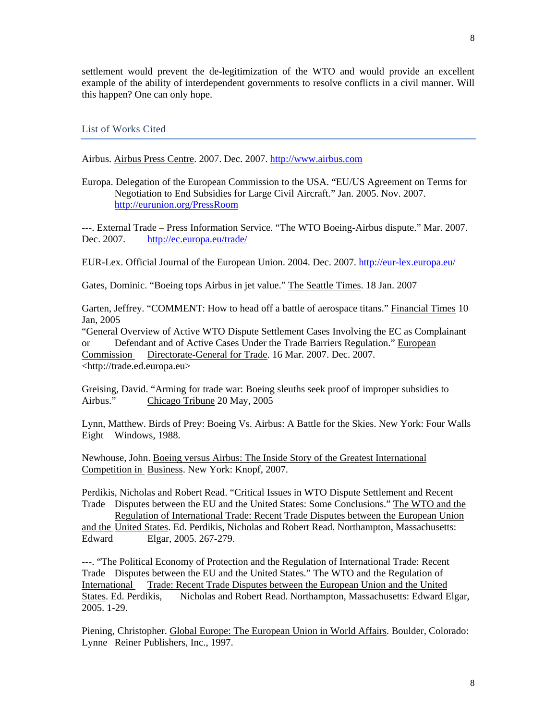settlement would prevent the de-legitimization of the WTO and would provide an excellent example of the ability of interdependent governments to resolve conflicts in a civil manner. Will this happen? One can only hope.

List of Works Cited

Airbus. Airbus Press Centre. 2007. Dec. 2007. [http://www.airbus.com](http://www.airbus.com/)

Europa. Delegation of the European Commission to the USA. "EU/US Agreement on Terms for Negotiation to End Subsidies for Large Civil Aircraft." Jan. 2005. Nov. 2007. <http://eurunion.org/PressRoom>

---. External Trade – Press Information Service. "The WTO Boeing-Airbus dispute." Mar. 2007. Dec. 2007. <http://ec.europa.eu/trade/>

EUR-Lex. Official Journal of the European Union. 2004. Dec. 2007. <http://eur-lex.europa.eu/>

Gates, Dominic. "Boeing tops Airbus in jet value." The Seattle Times. 18 Jan. 2007

Garten, Jeffrey. "COMMENT: How to head off a battle of aerospace titans." Financial Times 10 Jan, 2005

"General Overview of Active WTO Dispute Settlement Cases Involving the EC as Complainant or Defendant and of Active Cases Under the Trade Barriers Regulation." European Commission Directorate-General for Trade. 16 Mar. 2007. Dec. 2007. <http://trade.ed.europa.eu>

Greising, David. "Arming for trade war: Boeing sleuths seek proof of improper subsidies to Airbus." Chicago Tribune 20 May, 2005

Lynn, Matthew. Birds of Prey: Boeing Vs. Airbus: A Battle for the Skies. New York: Four Walls Eight Windows, 1988.

Newhouse, John. Boeing versus Airbus: The Inside Story of the Greatest International Competition in Business. New York: Knopf, 2007.

Perdikis, Nicholas and Robert Read. "Critical Issues in WTO Dispute Settlement and Recent Trade Disputes between the EU and the United States: Some Conclusions." The WTO and the Regulation of International Trade: Recent Trade Disputes between the European Union and the United States. Ed. Perdikis, Nicholas and Robert Read. Northampton, Massachusetts: Edward Elgar, 2005. 267-279.

---. "The Political Economy of Protection and the Regulation of International Trade: Recent Trade Disputes between the EU and the United States." The WTO and the Regulation of International Trade: Recent Trade Disputes between the European Union and the United States. Ed. Perdikis, Nicholas and Robert Read. Northampton, Massachusetts: Edward Elgar, 2005. 1-29.

Piening, Christopher. Global Europe: The European Union in World Affairs. Boulder, Colorado: Lynne Reiner Publishers, Inc., 1997.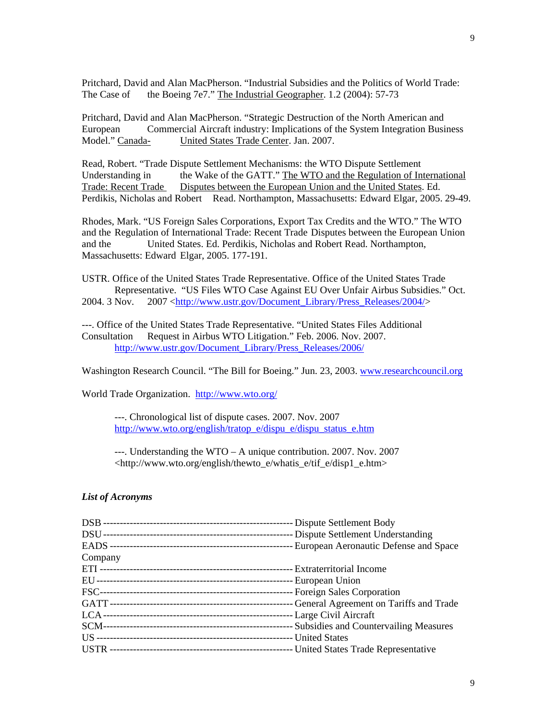Pritchard, David and Alan MacPherson. "Industrial Subsidies and the Politics of World Trade: The Case of the Boeing 7e7." The Industrial Geographer. 1.2 (2004): 57-73

Pritchard, David and Alan MacPherson. "Strategic Destruction of the North American and European Commercial Aircraft industry: Implications of the System Integration Business Model." Canada- United States Trade Center. Jan. 2007.

Read, Robert. "Trade Dispute Settlement Mechanisms: the WTO Dispute Settlement Understanding in the Wake of the GATT." The WTO and the Regulation of International Trade: Recent Trade Disputes between the European Union and the United States. Ed. Perdikis, Nicholas and Robert Read. Northampton, Massachusetts: Edward Elgar, 2005. 29-49.

Rhodes, Mark. "US Foreign Sales Corporations, Export Tax Credits and the WTO." The WTO and the Regulation of International Trade: Recent Trade Disputes between the European Union and the United States. Ed. Perdikis, Nicholas and Robert Read. Northampton, Massachusetts: Edward Elgar, 2005. 177-191.

USTR. Office of the United States Trade Representative. Office of the United States Trade Representative. "US Files WTO Case Against EU Over Unfair Airbus Subsidies." Oct. 2004. 3 Nov. 2007 <[http://www.ustr.gov/Document\\_Library/Press\\_Releases/2004/](http://www.ustr.gov/Document_Library/Press_Releases/2004/)>

---. Office of the United States Trade Representative. "United States Files Additional Consultation Request in Airbus WTO Litigation." Feb. 2006. Nov. 2007. [http://www.ustr.gov/Document\\_Library/Press\\_Releases/2006/](http://www.ustr.gov/Document_Library/Press_Releases/2006/)

Washington Research Council. "The Bill for Boeing." Jun. 23, 2003. [www.researchcouncil.org](http://www.researchcouncil.org/)

World Trade Organization. <http://www.wto.org/>

 ---. Chronological list of dispute cases. 2007. Nov. 2007 [http://www.wto.org/english/tratop\\_e/dispu\\_e/dispu\\_status\\_e.htm](http://www.wto.org/english/tratop_e/dispu_e/dispu_status_e.htm)

 ---. Understanding the WTO – A unique contribution. 2007. Nov. 2007 <http://www.wto.org/english/thewto\_e/whatis\_e/tif\_e/disp1\_e.htm>

### *List of Acronyms*

| Company |  |
|---------|--|
|         |  |
|         |  |
|         |  |
|         |  |
|         |  |
|         |  |
|         |  |
|         |  |